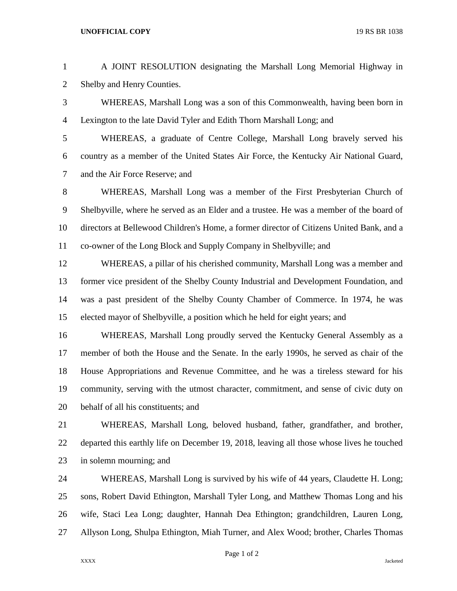## **UNOFFICIAL COPY** 19 RS BR 1038

| $\mathbf{1}$   | A JOINT RESOLUTION designating the Marshall Long Memorial Highway in                     |
|----------------|------------------------------------------------------------------------------------------|
|                |                                                                                          |
| $\overline{2}$ | Shelby and Henry Counties.                                                               |
| 3              | WHEREAS, Marshall Long was a son of this Commonwealth, having been born in               |
| 4              | Lexington to the late David Tyler and Edith Thorn Marshall Long; and                     |
| 5              | WHEREAS, a graduate of Centre College, Marshall Long bravely served his                  |
| 6              | country as a member of the United States Air Force, the Kentucky Air National Guard,     |
| 7              | and the Air Force Reserve; and                                                           |
| 8              | WHEREAS, Marshall Long was a member of the First Presbyterian Church of                  |
| 9              | Shelbyville, where he served as an Elder and a trustee. He was a member of the board of  |
| 10             | directors at Bellewood Children's Home, a former director of Citizens United Bank, and a |
| 11             | co-owner of the Long Block and Supply Company in Shelbyville; and                        |
| 12             | WHEREAS, a pillar of his cherished community, Marshall Long was a member and             |
| 13             | former vice president of the Shelby County Industrial and Development Foundation, and    |
| 14             | was a past president of the Shelby County Chamber of Commerce. In 1974, he was           |
| 15             | elected mayor of Shelbyville, a position which he held for eight years; and              |
|                |                                                                                          |

 WHEREAS, Marshall Long proudly served the Kentucky General Assembly as a member of both the House and the Senate. In the early 1990s, he served as chair of the House Appropriations and Revenue Committee, and he was a tireless steward for his community, serving with the utmost character, commitment, and sense of civic duty on behalf of all his constituents; and

 WHEREAS, Marshall Long, beloved husband, father, grandfather, and brother, departed this earthly life on December 19, 2018, leaving all those whose lives he touched in solemn mourning; and

 WHEREAS, Marshall Long is survived by his wife of 44 years, Claudette H. Long; sons, Robert David Ethington, Marshall Tyler Long, and Matthew Thomas Long and his wife, Staci Lea Long; daughter, Hannah Dea Ethington; grandchildren, Lauren Long, Allyson Long, Shulpa Ethington, Miah Turner, and Alex Wood; brother, Charles Thomas